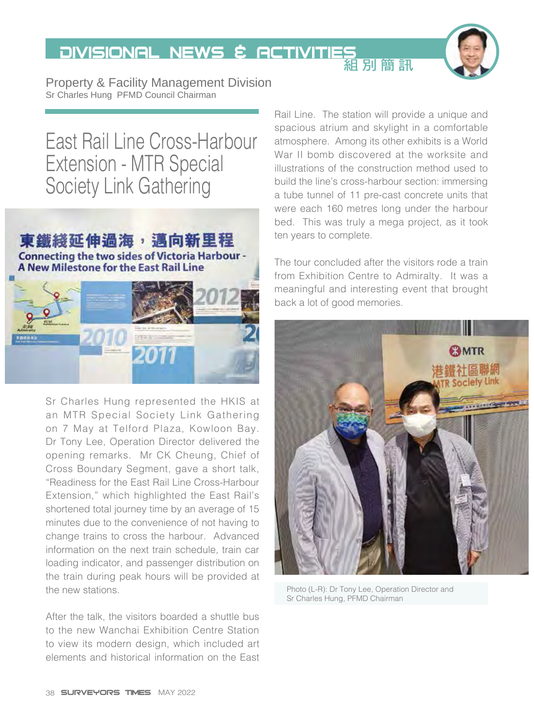DIVISIONAL NEWS & ACTIVITIES<br>組別簡訊



Property & Facility Management Division Sr Charles Hung PFMD Council Chairman

## East Rail Line Cross-Harbour Extension - MTR Special Society Link Gathering



Sr Charles Hung represented the HKIS at an MTR Special Society Link Gathering on 7 May at Telford Plaza, Kowloon Bay. Dr Tony Lee, Operation Director delivered the opening remarks. Mr CK Cheung, Chief of Cross Boundary Segment, gave a short talk, "Readiness for the East Rail Line Cross-Harbour Extension," which highlighted the East Rail's shortened total journey time by an average of 15 minutes due to the convenience of not having to change trains to cross the harbour. Advanced information on the next train schedule, train car loading indicator, and passenger distribution on the train during peak hours will be provided at the new stations.

After the talk, the visitors boarded a shuttle bus to the new Wanchai Exhibition Centre Station to view its modern design, which included art elements and historical information on the East

Rail Line. The station will provide a unique and spacious atrium and skylight in a comfortable atmosphere. Among its other exhibits is a World War II bomb discovered at the worksite and illustrations of the construction method used to build the line's cross-harbour section: immersing a tube tunnel of 11 pre-cast concrete units that were each 160 metres long under the harbour bed. This was truly a mega project, as it took ten years to complete.

The tour concluded after the visitors rode a train from Exhibition Centre to Admiralty. It was a meaningful and interesting event that brought back a lot of good memories.



Photo (L-R): Dr Tony Lee, Operation Director and Sr Charles Hung, PFMD Chairman